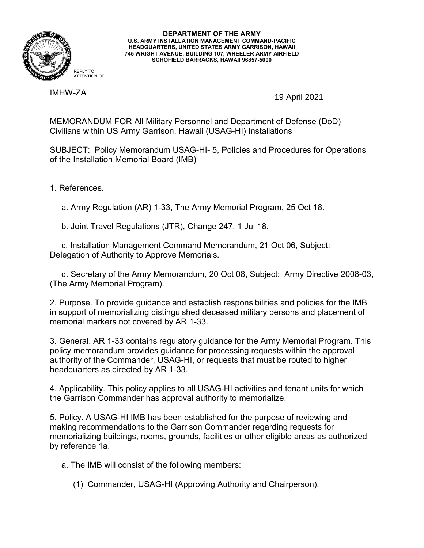

## **DEPARTMENT OF THE ARMY U.S. ARMY INSTALLATION MANAGEMENT COMMAND-PACIFIC HEADQUARTERS, UNITED STATES ARMY GARRISON, HAWAII 745 WRIGHT AVENUE, BUILDING 107, WHEELER ARMY AIRFIELD SCHOFIELD BARRACKS, HAWAII 96857-5000**

IMHW-ZA

19 April 2021

MEMORANDUM FOR All Military Personnel and Department of Defense (DoD) Civilians within US Army Garrison, Hawaii (USAG-HI) Installations

SUBJECT: Policy Memorandum USAG-HI- 5, Policies and Procedures for Operations of the Installation Memorial Board (IMB)

1. References.

a. Army Regulation (AR) 1-33, The Army Memorial Program, 25 Oct 18.

b. Joint Travel Regulations (JTR), Change 247, 1 Jul 18.

 c. Installation Management Command Memorandum, 21 Oct 06, Subject: Delegation of Authority to Approve Memorials.

 d. Secretary of the Army Memorandum, 20 Oct 08, Subject: Army Directive 2008-03, (The Army Memorial Program).

2. Purpose. To provide guidance and establish responsibilities and policies for the IMB in support of memorializing distinguished deceased military persons and placement of memorial markers not covered by AR 1-33.

3. General. AR 1-33 contains regulatory guidance for the Army Memorial Program. This policy memorandum provides guidance for processing requests within the approval authority of the Commander, USAG-HI, or requests that must be routed to higher headquarters as directed by AR 1-33.

4. Applicability. This policy applies to all USAG-HI activities and tenant units for which the Garrison Commander has approval authority to memorialize.

5. Policy. A USAG-HI IMB has been established for the purpose of reviewing and making recommendations to the Garrison Commander regarding requests for memorializing buildings, rooms, grounds, facilities or other eligible areas as authorized by reference 1a.

a. The IMB will consist of the following members:

(1) Commander, USAG-HI (Approving Authority and Chairperson).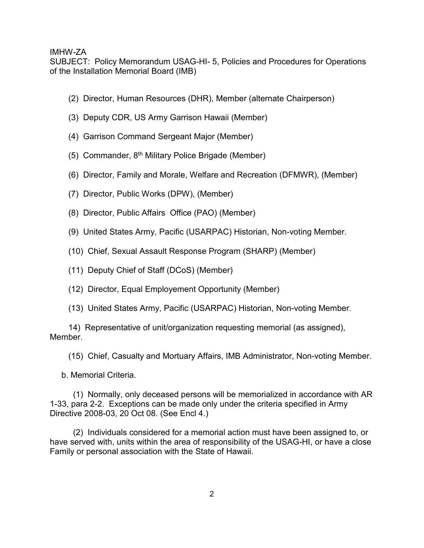SUBJECT: Policy Memorandum USAG-HI- 5, Policies and Procedures for Operations of the Installation Memorial Board (IMB)

- (2) Director, Human Resources (DHR), Member (alternate Chairperson)
- (3) Deputy CDR, US Army Garrison Hawaii (Member)
- (4) Garrison Command Sergeant Major (Member)
- (5) Commander, 8th Military Police Brigade (Member)
- (6) Director, Family and Morale, Welfare and Recreation (DFMWR), (Member)
- (7) Director, Public Works (DPW), (Member)
- (8) Director, Public Affairs Office (PAO) (Member)
- (9) United States Army, Pacific (USARPAC) Historian, Non-voting Member.
- (10) Chief, Sexual Assault Response Program (SHARP) (Member)
- (11) Deputy Chief of Staff (DCoS) (Member)
- (12) Director, Equal Employement Opportunity (Member)
- (13) United States Army, Pacific (USARPAC) Historian, Non-voting Member.

 14) Representative of unit/organization requesting memorial (as assigned), Member.

(15) Chief, Casualty and Mortuary Affairs, IMB Administrator, Non-voting Member.

b. Memorial Criteria.

 (1) Normally, only deceased persons will be memorialized in accordance with AR 1-33, para 2-2. Exceptions can be made only under the criteria specified in Army Directive 2008-03, 20 Oct 08. (See Encl 4.)

 (2) Individuals considered for a memorial action must have been assigned to, or have served with, units within the area of responsibility of the USAG-HI, or have a close Family or personal association with the State of Hawaii.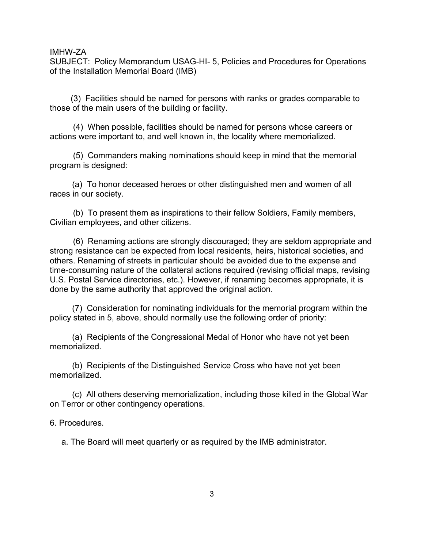SUBJECT: Policy Memorandum USAG-HI- 5, Policies and Procedures for Operations of the Installation Memorial Board (IMB)

 (3) Facilities should be named for persons with ranks or grades comparable to those of the main users of the building or facility.

 (4) When possible, facilities should be named for persons whose careers or actions were important to, and well known in, the locality where memorialized.

 (5) Commanders making nominations should keep in mind that the memorial program is designed:

(a) To honor deceased heroes or other distinguished men and women of all races in our society.

 (b) To present them as inspirations to their fellow Soldiers, Family members, Civilian employees, and other citizens.

 (6) Renaming actions are strongly discouraged; they are seldom appropriate and strong resistance can be expected from local residents, heirs, historical societies, and others. Renaming of streets in particular should be avoided due to the expense and time-consuming nature of the collateral actions required (revising official maps, revising U.S. Postal Service directories, etc.). However, if renaming becomes appropriate, it is done by the same authority that approved the original action.

(7) Consideration for nominating individuals for the memorial program within the policy stated in 5, above, should normally use the following order of priority:

(a) Recipients of the Congressional Medal of Honor who have not yet been memorialized.

(b) Recipients of the Distinguished Service Cross who have not yet been memorialized.

(c) All others deserving memorialization, including those killed in the Global War on Terror or other contingency operations.

6. Procedures.

a. The Board will meet quarterly or as required by the IMB administrator.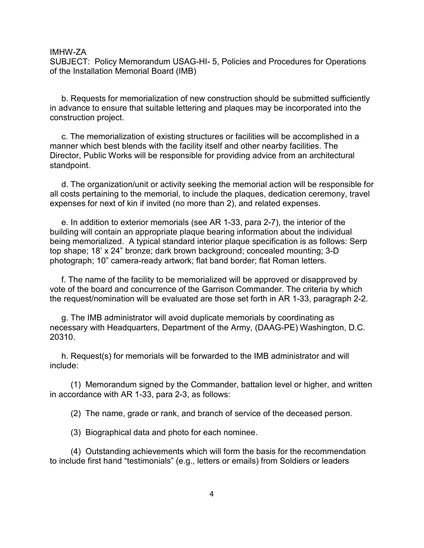SUBJECT: Policy Memorandum USAG-HI- 5, Policies and Procedures for Operations of the Installation Memorial Board (IMB)

 b. Requests for memorialization of new construction should be submitted sufficiently in advance to ensure that suitable lettering and plaques may be incorporated into the construction project.

 c. The memorialization of existing structures or facilities will be accomplished in a manner which best blends with the facility itself and other nearby facilities. The Director, Public Works will be responsible for providing advice from an architectural standpoint.

 d. The organization/unit or activity seeking the memorial action will be responsible for all costs pertaining to the memorial, to include the plaques, dedication ceremony, travel expenses for next of kin if invited (no more than 2), and related expenses.

 e. In addition to exterior memorials (see AR 1-33, para 2-7), the interior of the building will contain an appropriate plaque bearing information about the individual being memorialized. A typical standard interior plaque specification is as follows: Serp top shape; 18' x 24" bronze; dark brown background; concealed mounting; 3-D photograph; 10" camera-ready artwork; flat band border; flat Roman letters.

 f. The name of the facility to be memorialized will be approved or disapproved by vote of the board and concurrence of the Garrison Commander. The criteria by which the request/nomination will be evaluated are those set forth in AR 1-33, paragraph 2-2.

 g. The IMB administrator will avoid duplicate memorials by coordinating as necessary with Headquarters, Department of the Army, (DAAG-PE) Washington, D.C. 20310.

 h. Request(s) for memorials will be forwarded to the IMB administrator and will include:

 (1) Memorandum signed by the Commander, battalion level or higher, and written in accordance with AR 1-33, para 2-3, as follows:

(2) The name, grade or rank, and branch of service of the deceased person.

(3) Biographical data and photo for each nominee.

 (4) Outstanding achievements which will form the basis for the recommendation to include first hand "testimonials" (e.g., letters or emails) from Soldiers or leaders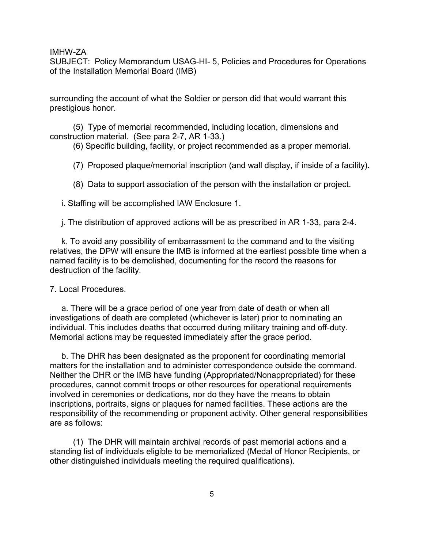SUBJECT: Policy Memorandum USAG-HI- 5, Policies and Procedures for Operations of the Installation Memorial Board (IMB)

surrounding the account of what the Soldier or person did that would warrant this prestigious honor.

 (5) Type of memorial recommended, including location, dimensions and construction material. (See para 2-7, AR 1-33.)

(6) Specific building, facility, or project recommended as a proper memorial.

(7) Proposed plaque/memorial inscription (and wall display, if inside of a facility).

(8) Data to support association of the person with the installation or project.

i. Staffing will be accomplished IAW Enclosure 1.

j. The distribution of approved actions will be as prescribed in AR 1-33, para 2-4.

 k. To avoid any possibility of embarrassment to the command and to the visiting relatives, the DPW will ensure the IMB is informed at the earliest possible time when a named facility is to be demolished, documenting for the record the reasons for destruction of the facility.

7. Local Procedures.

 a. There will be a grace period of one year from date of death or when all investigations of death are completed (whichever is later) prior to nominating an individual. This includes deaths that occurred during military training and off-duty. Memorial actions may be requested immediately after the grace period.

 b. The DHR has been designated as the proponent for coordinating memorial matters for the installation and to administer correspondence outside the command. Neither the DHR or the IMB have funding (Appropriated/Nonappropriated) for these procedures, cannot commit troops or other resources for operational requirements involved in ceremonies or dedications, nor do they have the means to obtain inscriptions, portraits, signs or plaques for named facilities. These actions are the responsibility of the recommending or proponent activity. Other general responsibilities are as follows:

 (1) The DHR will maintain archival records of past memorial actions and a standing list of individuals eligible to be memorialized (Medal of Honor Recipients, or other distinguished individuals meeting the required qualifications).